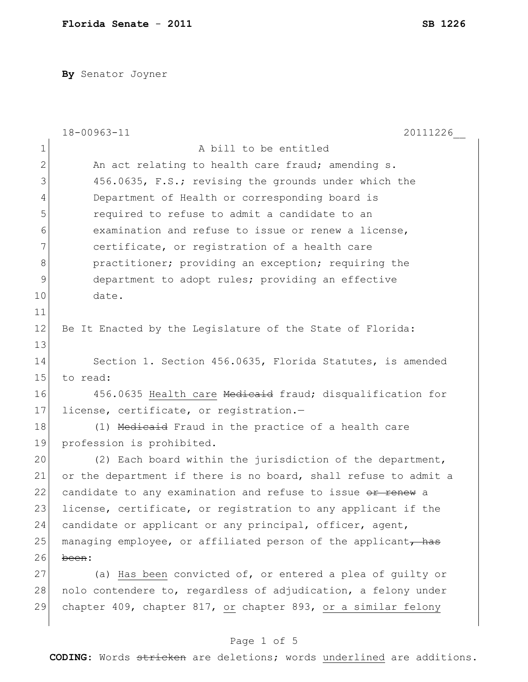**By** Senator Joyner

|    | 18-00963-11<br>20111226                                         |
|----|-----------------------------------------------------------------|
| 1  | A bill to be entitled                                           |
| 2  | An act relating to health care fraud; amending s.               |
| 3  | 456.0635, F.S.; revising the grounds under which the            |
| 4  | Department of Health or corresponding board is                  |
| 5  | required to refuse to admit a candidate to an                   |
| 6  | examination and refuse to issue or renew a license,             |
| 7  | certificate, or registration of a health care                   |
| 8  | practitioner; providing an exception; requiring the             |
| 9  | department to adopt rules; providing an effective               |
| 10 | date.                                                           |
| 11 |                                                                 |
| 12 | Be It Enacted by the Legislature of the State of Florida:       |
| 13 |                                                                 |
| 14 | Section 1. Section 456.0635, Florida Statutes, is amended       |
| 15 | to read:                                                        |
| 16 | 456.0635 Health care Medicaid fraud; disqualification for       |
| 17 | license, certificate, or registration.-                         |
| 18 | (1) Medicaid Fraud in the practice of a health care             |
| 19 | profession is prohibited.                                       |
| 20 | (2) Each board within the jurisdiction of the department,       |
| 21 | or the department if there is no board, shall refuse to admit a |
| 22 | candidate to any examination and refuse to issue or renew a     |
| 23 | license, certificate, or registration to any applicant if the   |
| 24 | candidate or applicant or any principal, officer, agent,        |
| 25 | managing employee, or affiliated person of the applicant, has   |
| 26 | been:                                                           |
| 27 | (a) Has been convicted of, or entered a plea of guilty or       |
| 28 | nolo contendere to, regardless of adjudication, a felony under  |
| 29 | chapter 409, chapter 817, or chapter 893, or a similar felony   |
|    |                                                                 |

# Page 1 of 5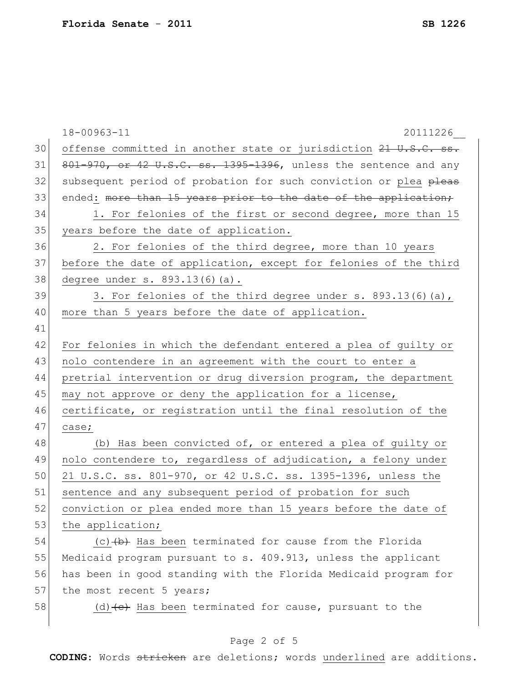|    | 18-00963-11<br>20111226                                          |
|----|------------------------------------------------------------------|
| 30 | offense committed in another state or jurisdiction 21 U.S.C. ss. |
| 31 | 801-970, or 42 U.S.C. ss. 1395-1396, unless the sentence and any |
| 32 | subsequent period of probation for such conviction or plea pleas |
| 33 | ended: more than 15 years prior to the date of the application;  |
| 34 | 1. For felonies of the first or second degree, more than 15      |
| 35 | years before the date of application.                            |
| 36 | 2. For felonies of the third degree, more than 10 years          |
| 37 | before the date of application, except for felonies of the third |
| 38 | degree under s. 893.13(6)(a).                                    |
| 39 | 3. For felonies of the third degree under s. 893.13(6)(a),       |
| 40 | more than 5 years before the date of application.                |
| 41 |                                                                  |
| 42 | For felonies in which the defendant entered a plea of guilty or  |
| 43 | nolo contendere in an agreement with the court to enter a        |
| 44 | pretrial intervention or drug diversion program, the department  |
| 45 | may not approve or deny the application for a license,           |
| 46 | certificate, or registration until the final resolution of the   |
| 47 | case;                                                            |
| 48 | (b) Has been convicted of, or entered a plea of guilty or        |
| 49 | nolo contendere to, regardless of adjudication, a felony under   |
| 50 | 21 U.S.C. ss. 801-970, or 42 U.S.C. ss. 1395-1396, unless the    |
| 51 | sentence and any subsequent period of probation for such         |
| 52 | conviction or plea ended more than 15 years before the date of   |
| 53 | the application;                                                 |
| 54 | $(c)$ $(b)$ Has been terminated for cause from the Florida       |
| 55 | Medicaid program pursuant to s. 409.913, unless the applicant    |
| 56 | has been in good standing with the Florida Medicaid program for  |
| 57 | the most recent 5 years;                                         |
| 58 | (d) $(e)$ Has been terminated for cause, pursuant to the         |
|    |                                                                  |

## Page 2 of 5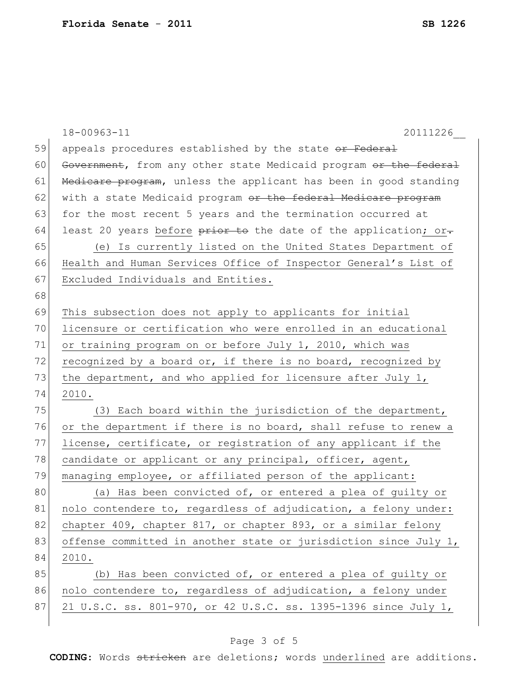|    | 18-00963-11<br>20111226                                          |
|----|------------------------------------------------------------------|
| 59 | appeals procedures established by the state or Federal           |
| 60 | Government, from any other state Medicaid program or the federal |
| 61 | Medicare program, unless the applicant has been in good standing |
| 62 | with a state Medicaid program or the federal Medicare program    |
| 63 | for the most recent 5 years and the termination occurred at      |
| 64 | least 20 years before prior to the date of the application; or-  |
| 65 | (e) Is currently listed on the United States Department of       |
| 66 | Health and Human Services Office of Inspector General's List of  |
| 67 | Excluded Individuals and Entities.                               |
| 68 |                                                                  |
| 69 | This subsection does not apply to applicants for initial         |
| 70 | licensure or certification who were enrolled in an educational   |
| 71 | or training program on or before July 1, 2010, which was         |
| 72 | recognized by a board or, if there is no board, recognized by    |
| 73 | the department, and who applied for licensure after July 1,      |
| 74 | 2010.                                                            |
| 75 | (3) Each board within the jurisdiction of the department,        |
| 76 | or the department if there is no board, shall refuse to renew a  |
| 77 | license, certificate, or registration of any applicant if the    |
| 78 | candidate or applicant or any principal, officer, agent,         |
| 79 | managing employee, or affiliated person of the applicant:        |
| 80 | (a) Has been convicted of, or entered a plea of guilty or        |
| 81 | nolo contendere to, regardless of adjudication, a felony under:  |
| 82 | chapter 409, chapter 817, or chapter 893, or a similar felony    |
| 83 | offense committed in another state or jurisdiction since July 1, |
| 84 | 2010.                                                            |
| 85 | (b) Has been convicted of, or entered a plea of guilty or        |
| 86 | nolo contendere to, regardless of adjudication, a felony under   |
| 87 | 21 U.S.C. ss. 801-970, or 42 U.S.C. ss. 1395-1396 since July 1,  |
|    |                                                                  |

## Page 3 of 5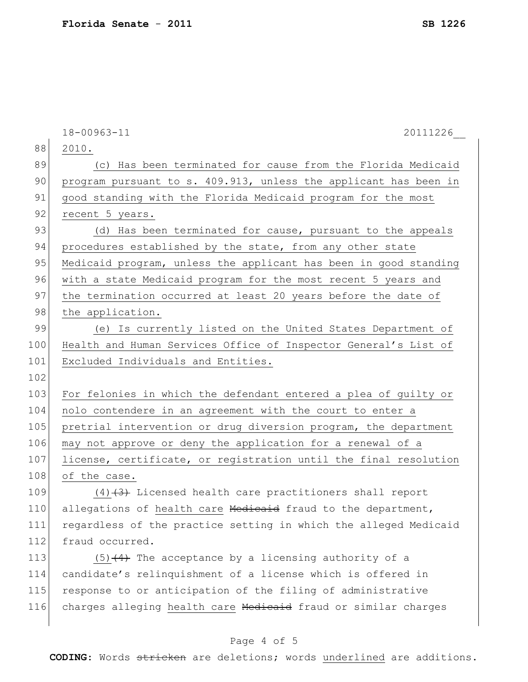|     | 18-00963-11<br>20111226                                          |
|-----|------------------------------------------------------------------|
| 88  | 2010.                                                            |
| 89  | (c) Has been terminated for cause from the Florida Medicaid      |
| 90  | program pursuant to s. 409.913, unless the applicant has been in |
| 91  | good standing with the Florida Medicaid program for the most     |
| 92  | recent 5 years.                                                  |
| 93  | (d) Has been terminated for cause, pursuant to the appeals       |
| 94  | procedures established by the state, from any other state        |
| 95  | Medicaid program, unless the applicant has been in good standing |
| 96  | with a state Medicaid program for the most recent 5 years and    |
| 97  | the termination occurred at least 20 years before the date of    |
| 98  | the application.                                                 |
| 99  | (e) Is currently listed on the United States Department of       |
| 100 | Health and Human Services Office of Inspector General's List of  |
| 101 | Excluded Individuals and Entities.                               |
| 102 |                                                                  |
| 103 | For felonies in which the defendant entered a plea of guilty or  |
| 104 | nolo contendere in an agreement with the court to enter a        |
| 105 | pretrial intervention or drug diversion program, the department  |
| 106 | may not approve or deny the application for a renewal of a       |
| 107 | license, certificate, or registration until the final resolution |
| 108 | of the case.                                                     |
| 109 | $(4)$ $(3)$ Licensed health care practitioners shall report      |
| 110 | allegations of health care Medicaid fraud to the department,     |
| 111 | regardless of the practice setting in which the alleged Medicaid |
| 112 | fraud occurred.                                                  |
| 113 | $(5)$ $(4)$ The acceptance by a licensing authority of a         |
| 114 | candidate's relinquishment of a license which is offered in      |
| 115 | response to or anticipation of the filing of administrative      |
| 116 | charges alleging health care Medicaid fraud or similar charges   |
|     |                                                                  |

## Page 4 of 5